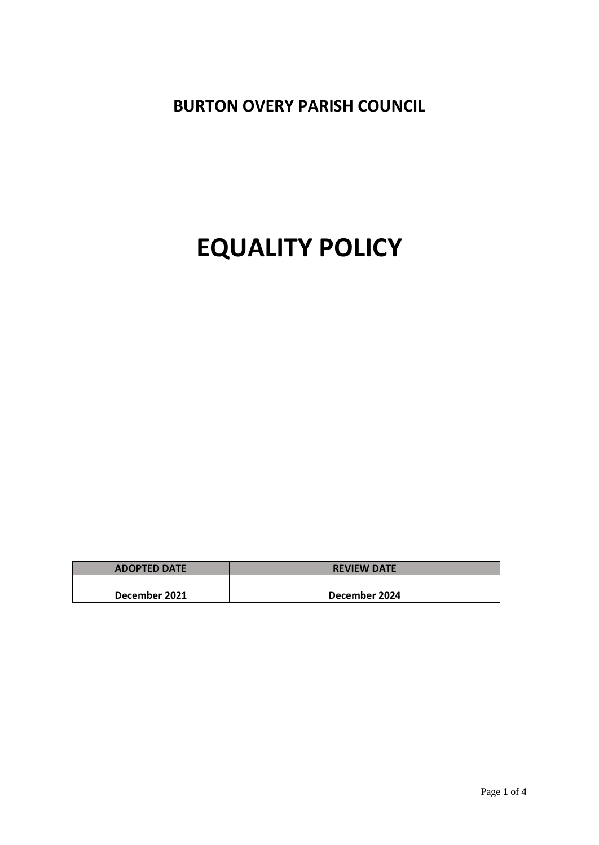**BURTON OVERY PARISH COUNCIL**

# **EQUALITY POLICY**

| <b>ADOPTED DATE</b> | <b>REVIEW DATE</b> |
|---------------------|--------------------|
|                     |                    |
| December 2021       | December 2024      |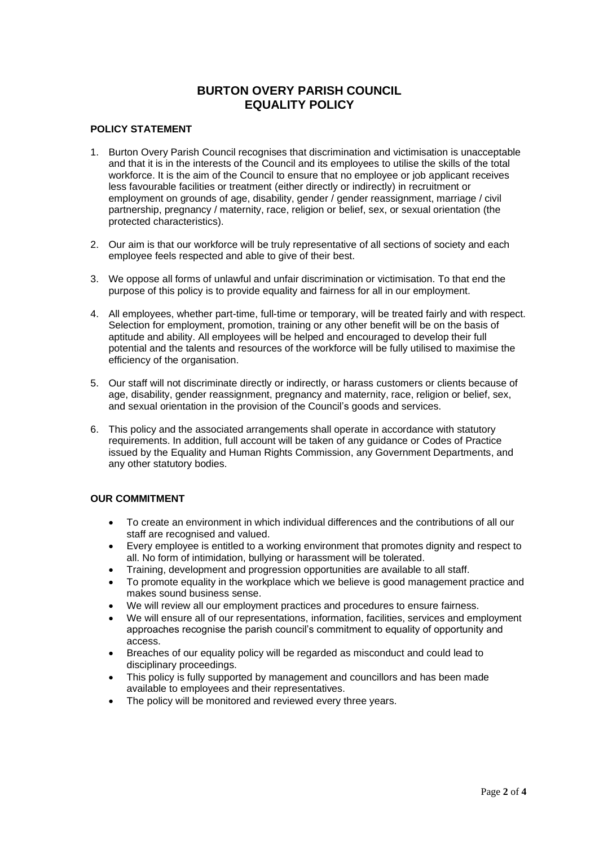# **BURTON OVERY PARISH COUNCIL EQUALITY POLICY**

# **POLICY STATEMENT**

- 1. Burton Overy Parish Council recognises that discrimination and victimisation is unacceptable and that it is in the interests of the Council and its employees to utilise the skills of the total workforce. It is the aim of the Council to ensure that no employee or job applicant receives less favourable facilities or treatment (either directly or indirectly) in recruitment or employment on grounds of age, disability, gender / gender reassignment, marriage / civil partnership, pregnancy / maternity, race, religion or belief, sex, or sexual orientation (the protected characteristics).
- 2. Our aim is that our workforce will be truly representative of all sections of society and each employee feels respected and able to give of their best.
- 3. We oppose all forms of unlawful and unfair discrimination or victimisation. To that end the purpose of this policy is to provide equality and fairness for all in our employment.
- 4. All employees, whether part-time, full-time or temporary, will be treated fairly and with respect. Selection for employment, promotion, training or any other benefit will be on the basis of aptitude and ability. All employees will be helped and encouraged to develop their full potential and the talents and resources of the workforce will be fully utilised to maximise the efficiency of the organisation.
- 5. Our staff will not discriminate directly or indirectly, or harass customers or clients because of age, disability, gender reassignment, pregnancy and maternity, race, religion or belief, sex, and sexual orientation in the provision of the Council's goods and services.
- 6. This policy and the associated arrangements shall operate in accordance with statutory requirements. In addition, full account will be taken of any guidance or Codes of Practice issued by the Equality and Human Rights Commission, any Government Departments, and any other statutory bodies.

# **OUR COMMITMENT**

- To create an environment in which individual differences and the contributions of all our staff are recognised and valued.
- Every employee is entitled to a working environment that promotes dignity and respect to all. No form of intimidation, bullying or harassment will be tolerated.
- Training, development and progression opportunities are available to all staff.
- To promote equality in the workplace which we believe is good management practice and makes sound business sense.
- We will review all our employment practices and procedures to ensure fairness.
- We will ensure all of our representations, information, facilities, services and employment approaches recognise the parish council's commitment to equality of opportunity and access.
- Breaches of our equality policy will be regarded as misconduct and could lead to disciplinary proceedings.
- This policy is fully supported by management and councillors and has been made available to employees and their representatives.
- The policy will be monitored and reviewed every three years.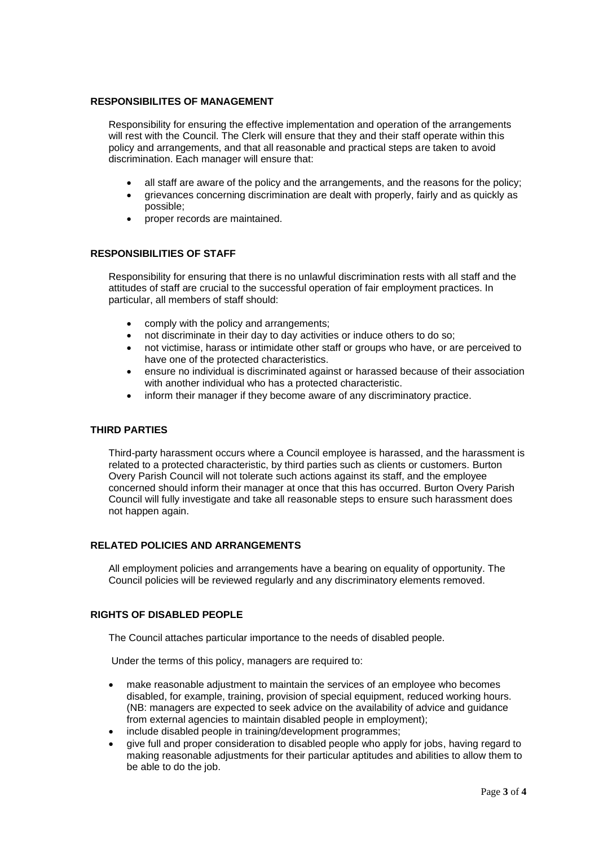#### **RESPONSIBILITES OF MANAGEMENT**

Responsibility for ensuring the effective implementation and operation of the arrangements will rest with the Council. The Clerk will ensure that they and their staff operate within this policy and arrangements, and that all reasonable and practical steps are taken to avoid discrimination. Each manager will ensure that:

- all staff are aware of the policy and the arrangements, and the reasons for the policy;
- grievances concerning discrimination are dealt with properly, fairly and as quickly as possible;
- proper records are maintained.

#### **RESPONSIBILITIES OF STAFF**

Responsibility for ensuring that there is no unlawful discrimination rests with all staff and the attitudes of staff are crucial to the successful operation of fair employment practices. In particular, all members of staff should:

- comply with the policy and arrangements;
- not discriminate in their day to day activities or induce others to do so;
- not victimise, harass or intimidate other staff or groups who have, or are perceived to have one of the protected characteristics.
- ensure no individual is discriminated against or harassed because of their association with another individual who has a protected characteristic.
- inform their manager if they become aware of any discriminatory practice.

# **THIRD PARTIES**

Third-party harassment occurs where a Council employee is harassed, and the harassment is related to a protected characteristic, by third parties such as clients or customers. Burton Overy Parish Council will not tolerate such actions against its staff, and the employee concerned should inform their manager at once that this has occurred. Burton Overy Parish Council will fully investigate and take all reasonable steps to ensure such harassment does not happen again.

#### **RELATED POLICIES AND ARRANGEMENTS**

All employment policies and arrangements have a bearing on equality of opportunity. The Council policies will be reviewed regularly and any discriminatory elements removed.

#### **RIGHTS OF DISABLED PEOPLE**

The Council attaches particular importance to the needs of disabled people.

Under the terms of this policy, managers are required to:

- make reasonable adjustment to maintain the services of an employee who becomes disabled, for example, training, provision of special equipment, reduced working hours. (NB: managers are expected to seek advice on the availability of advice and guidance from external agencies to maintain disabled people in employment);
- include disabled people in training/development programmes;
- give full and proper consideration to disabled people who apply for jobs, having regard to making reasonable adjustments for their particular aptitudes and abilities to allow them to be able to do the job.